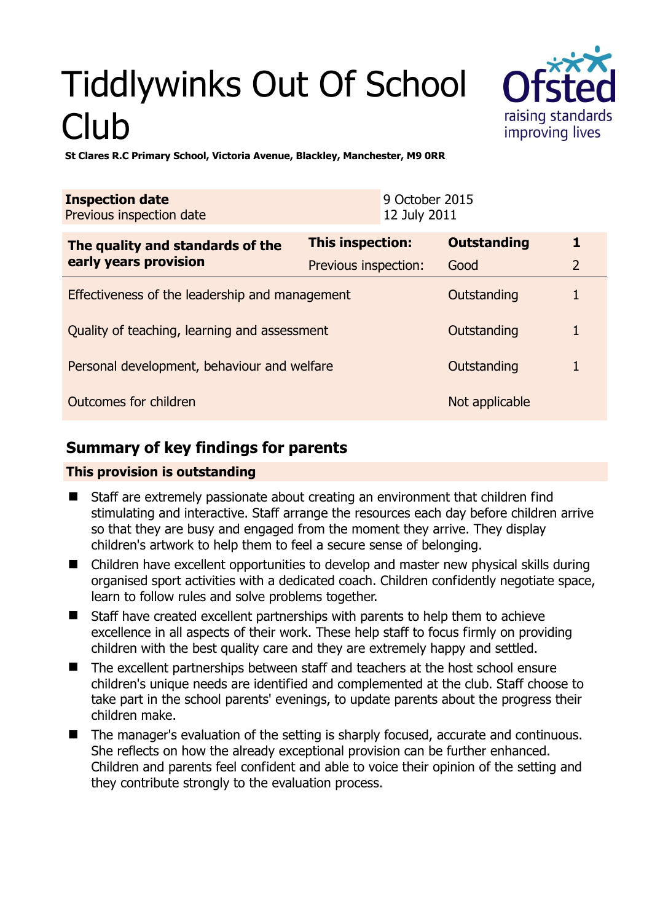# Tiddlywinks Out Of School Club



**St Clares R.C Primary School, Victoria Avenue, Blackley, Manchester, M9 0RR** 

| <b>Inspection date</b><br>Previous inspection date |                      | 9 October 2015<br>12 July 2011 |                    |                |
|----------------------------------------------------|----------------------|--------------------------------|--------------------|----------------|
| The quality and standards of the                   | This inspection:     |                                | <b>Outstanding</b> | 1              |
| early years provision                              | Previous inspection: |                                | Good               | $\overline{2}$ |
| Effectiveness of the leadership and management     |                      |                                | Outstanding        |                |
| Quality of teaching, learning and assessment       |                      |                                | Outstanding        |                |
| Personal development, behaviour and welfare        |                      |                                | Outstanding        |                |
| Outcomes for children                              |                      |                                | Not applicable     |                |

# **Summary of key findings for parents**

## **This provision is outstanding**

- Staff are extremely passionate about creating an environment that children find stimulating and interactive. Staff arrange the resources each day before children arrive so that they are busy and engaged from the moment they arrive. They display children's artwork to help them to feel a secure sense of belonging.
- Children have excellent opportunities to develop and master new physical skills during organised sport activities with a dedicated coach. Children confidently negotiate space, learn to follow rules and solve problems together.
- Staff have created excellent partnerships with parents to help them to achieve excellence in all aspects of their work. These help staff to focus firmly on providing children with the best quality care and they are extremely happy and settled.
- The excellent partnerships between staff and teachers at the host school ensure children's unique needs are identified and complemented at the club. Staff choose to take part in the school parents' evenings, to update parents about the progress their children make.
- The manager's evaluation of the setting is sharply focused, accurate and continuous. She reflects on how the already exceptional provision can be further enhanced. Children and parents feel confident and able to voice their opinion of the setting and they contribute strongly to the evaluation process.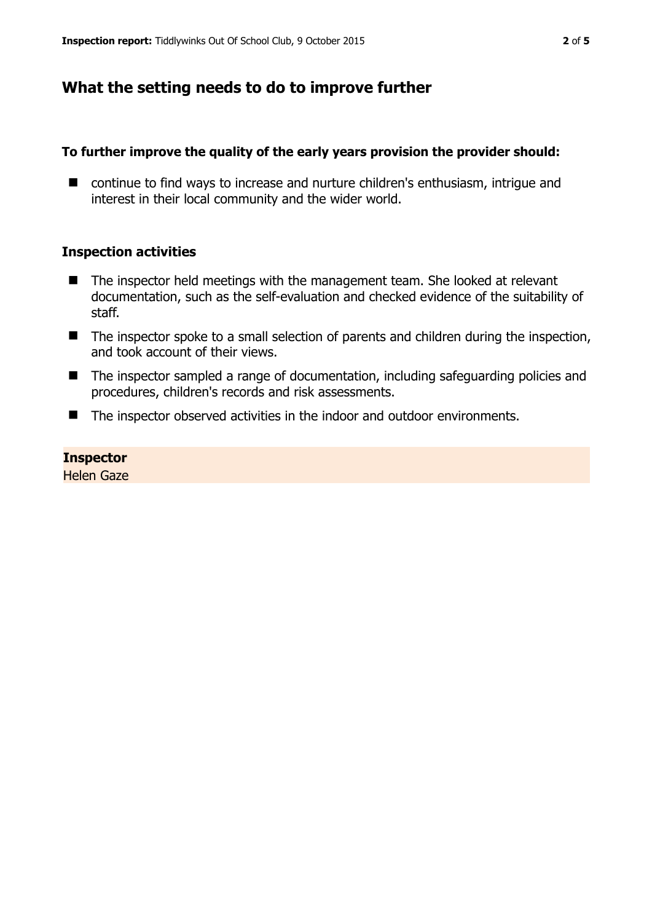# **What the setting needs to do to improve further**

#### **To further improve the quality of the early years provision the provider should:**

■ continue to find ways to increase and nurture children's enthusiasm, intrigue and interest in their local community and the wider world.

#### **Inspection activities**

- The inspector held meetings with the management team. She looked at relevant documentation, such as the self-evaluation and checked evidence of the suitability of staff.
- The inspector spoke to a small selection of parents and children during the inspection, and took account of their views.
- The inspector sampled a range of documentation, including safeguarding policies and procedures, children's records and risk assessments.
- The inspector observed activities in the indoor and outdoor environments.

## **Inspector**

Helen Gaze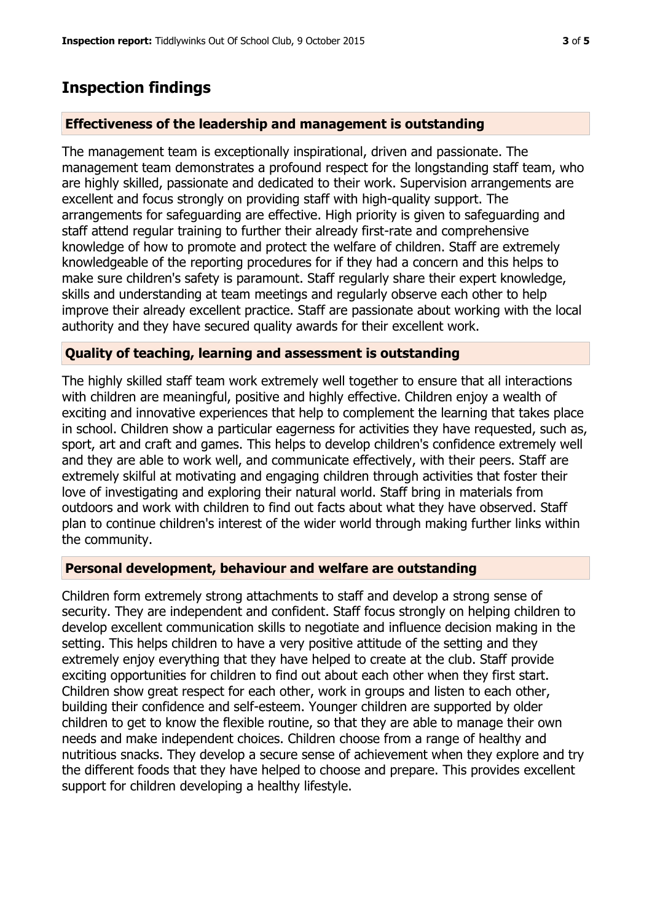# **Inspection findings**

## **Effectiveness of the leadership and management is outstanding**

The management team is exceptionally inspirational, driven and passionate. The management team demonstrates a profound respect for the longstanding staff team, who are highly skilled, passionate and dedicated to their work. Supervision arrangements are excellent and focus strongly on providing staff with high-quality support. The arrangements for safeguarding are effective. High priority is given to safeguarding and staff attend regular training to further their already first-rate and comprehensive knowledge of how to promote and protect the welfare of children. Staff are extremely knowledgeable of the reporting procedures for if they had a concern and this helps to make sure children's safety is paramount. Staff regularly share their expert knowledge, skills and understanding at team meetings and regularly observe each other to help improve their already excellent practice. Staff are passionate about working with the local authority and they have secured quality awards for their excellent work.

## **Quality of teaching, learning and assessment is outstanding**

The highly skilled staff team work extremely well together to ensure that all interactions with children are meaningful, positive and highly effective. Children enjoy a wealth of exciting and innovative experiences that help to complement the learning that takes place in school. Children show a particular eagerness for activities they have requested, such as, sport, art and craft and games. This helps to develop children's confidence extremely well and they are able to work well, and communicate effectively, with their peers. Staff are extremely skilful at motivating and engaging children through activities that foster their love of investigating and exploring their natural world. Staff bring in materials from outdoors and work with children to find out facts about what they have observed. Staff plan to continue children's interest of the wider world through making further links within the community.

## **Personal development, behaviour and welfare are outstanding**

Children form extremely strong attachments to staff and develop a strong sense of security. They are independent and confident. Staff focus strongly on helping children to develop excellent communication skills to negotiate and influence decision making in the setting. This helps children to have a very positive attitude of the setting and they extremely enjoy everything that they have helped to create at the club. Staff provide exciting opportunities for children to find out about each other when they first start. Children show great respect for each other, work in groups and listen to each other, building their confidence and self-esteem. Younger children are supported by older children to get to know the flexible routine, so that they are able to manage their own needs and make independent choices. Children choose from a range of healthy and nutritious snacks. They develop a secure sense of achievement when they explore and try the different foods that they have helped to choose and prepare. This provides excellent support for children developing a healthy lifestyle.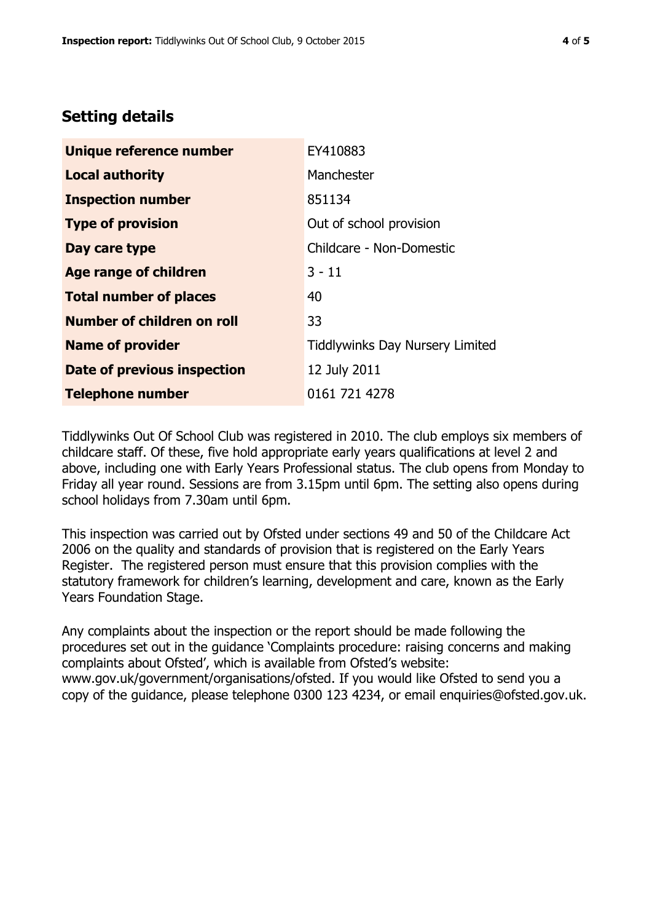# **Setting details**

| Unique reference number       | EY410883                               |  |
|-------------------------------|----------------------------------------|--|
| <b>Local authority</b>        | Manchester                             |  |
| <b>Inspection number</b>      | 851134                                 |  |
| <b>Type of provision</b>      | Out of school provision                |  |
| Day care type                 | Childcare - Non-Domestic               |  |
| Age range of children         | $3 - 11$                               |  |
| <b>Total number of places</b> | 40                                     |  |
| Number of children on roll    | 33                                     |  |
| <b>Name of provider</b>       | <b>Tiddlywinks Day Nursery Limited</b> |  |
| Date of previous inspection   | 12 July 2011                           |  |
| <b>Telephone number</b>       | 0161 721 4278                          |  |

Tiddlywinks Out Of School Club was registered in 2010. The club employs six members of childcare staff. Of these, five hold appropriate early years qualifications at level 2 and above, including one with Early Years Professional status. The club opens from Monday to Friday all year round. Sessions are from 3.15pm until 6pm. The setting also opens during school holidays from 7.30am until 6pm.

This inspection was carried out by Ofsted under sections 49 and 50 of the Childcare Act 2006 on the quality and standards of provision that is registered on the Early Years Register. The registered person must ensure that this provision complies with the statutory framework for children's learning, development and care, known as the Early Years Foundation Stage.

Any complaints about the inspection or the report should be made following the procedures set out in the guidance 'Complaints procedure: raising concerns and making complaints about Ofsted', which is available from Ofsted's website: www.gov.uk/government/organisations/ofsted. If you would like Ofsted to send you a copy of the guidance, please telephone 0300 123 4234, or email enquiries@ofsted.gov.uk.